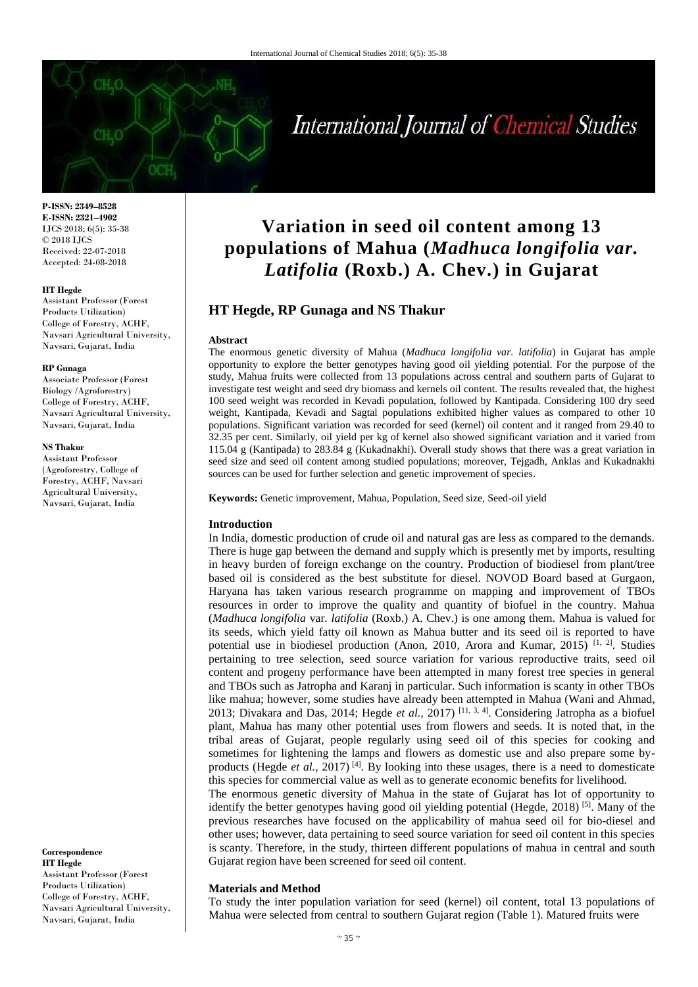# International Journal of Chemical Studies

**P-ISSN: 2349–8528 E-ISSN: 2321–4902** IJCS 2018; 6(5): 35-38 © 2018 IJCS Received: 22-07-2018 Accepted: 24-08-2018

#### **HT Hegde**

Assistant Professor (Forest Products Utilization) College of Forestry, ACHF, Navsari Agricultural University, Navsari, Gujarat, India

## **RP Gunaga**

Associate Professor (Forest Biology /Agroforestry) College of Forestry, ACHF, Navsari Agricultural University, Navsari, Gujarat, India

#### **NS Thakur**

Assistant Professor (Agroforestry, College of Forestry, ACHF, Navsari Agricultural University, Navsari, Gujarat, India

**Correspondence HT Hegde** Assistant Professor (Forest Products Utilization) College of Forestry, ACHF, Navsari Agricultural University, Navsari, Gujarat, India

## **Variation in seed oil content among 13 populations of Mahua (***Madhuca longifolia var. Latifolia* **(Roxb.) A. Chev.) in Gujarat**

## **HT Hegde, RP Gunaga and NS Thakur**

#### **Abstract**

The enormous genetic diversity of Mahua (*Madhuca longifolia var. latifolia*) in Gujarat has ample opportunity to explore the better genotypes having good oil yielding potential. For the purpose of the study, Mahua fruits were collected from 13 populations across central and southern parts of Gujarat to investigate test weight and seed dry biomass and kernels oil content. The results revealed that, the highest 100 seed weight was recorded in Kevadi population, followed by Kantipada. Considering 100 dry seed weight, Kantipada, Kevadi and Sagtal populations exhibited higher values as compared to other 10 populations. Significant variation was recorded for seed (kernel) oil content and it ranged from 29.40 to 32.35 per cent. Similarly, oil yield per kg of kernel also showed significant variation and it varied from 115.04 g (Kantipada) to 283.84 g (Kukadnakhi). Overall study shows that there was a great variation in seed size and seed oil content among studied populations; moreover, Tejgadh, Anklas and Kukadnakhi sources can be used for further selection and genetic improvement of species.

**Keywords:** Genetic improvement, Mahua, Population, Seed size, Seed-oil yield

## **Introduction**

In India, domestic production of crude oil and natural gas are less as compared to the demands. There is huge gap between the demand and supply which is presently met by imports, resulting in heavy burden of foreign exchange on the country. Production of biodiesel from plant/tree based oil is considered as the best substitute for diesel. NOVOD Board based at Gurgaon, Haryana has taken various research programme on mapping and improvement of TBOs resources in order to improve the quality and quantity of biofuel in the country. Mahua (*Madhuca longifolia* var*. latifolia* (Roxb.) A. Chev.) is one among them. Mahua is valued for its seeds, which yield fatty oil known as Mahua butter and its seed oil is reported to have potential use in biodiesel production (Anon, 2010, Arora and Kumar, 2015)<sup>[1, 2]</sup>. Studies pertaining to tree selection, seed source variation for various reproductive traits, seed oil content and progeny performance have been attempted in many forest tree species in general and TBOs such as Jatropha and Karanj in particular. Such information is scanty in other TBOs like mahua; however, some studies have already been attempted in Mahua (Wani and Ahmad, 2013; Divakara and Das, 2014; Hegde *et al.,* 2017) [11, 3, 4]. Considering Jatropha as a biofuel plant, Mahua has many other potential uses from flowers and seeds. It is noted that, in the tribal areas of Gujarat, people regularly using seed oil of this species for cooking and sometimes for lightening the lamps and flowers as domestic use and also prepare some byproducts (Hegde *et al.,* 2017)<sup>[4]</sup>. By looking into these usages, there is a need to domesticate this species for commercial value as well as to generate economic benefits for livelihood.

The enormous genetic diversity of Mahua in the state of Gujarat has lot of opportunity to identify the better genotypes having good oil yielding potential (Hegde, 2018)  $[5]$ . Many of the previous researches have focused on the applicability of mahua seed oil for bio-diesel and other uses; however, data pertaining to seed source variation for seed oil content in this species is scanty. Therefore, in the study, thirteen different populations of mahua in central and south Gujarat region have been screened for seed oil content.

## **Materials and Method**

To study the inter population variation for seed (kernel) oil content, total 13 populations of Mahua were selected from central to southern Gujarat region (Table 1). Matured fruits were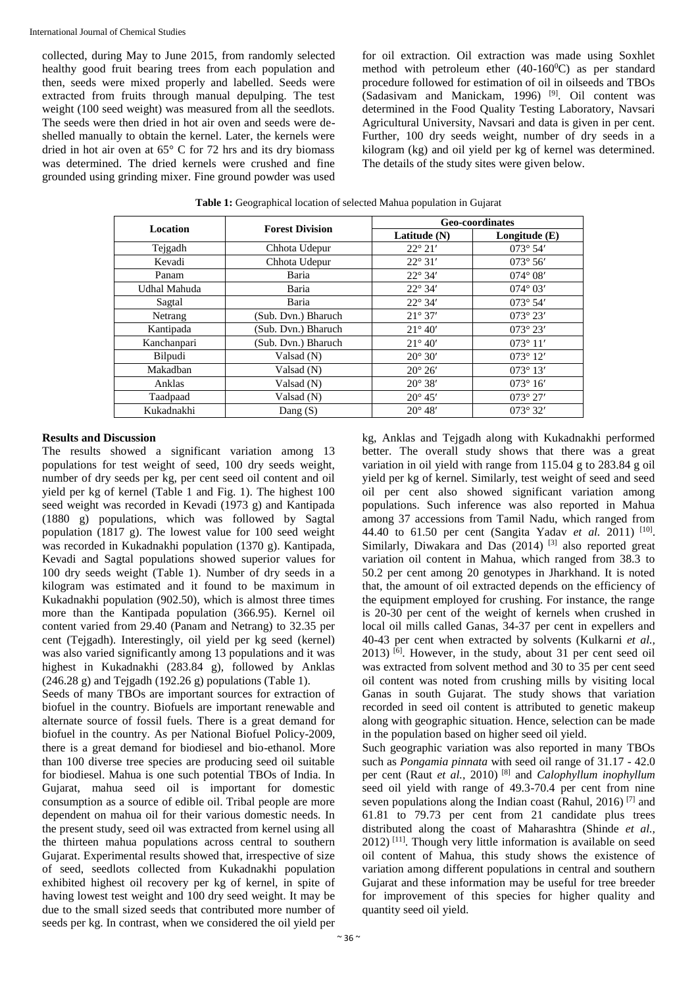collected, during May to June 2015, from randomly selected healthy good fruit bearing trees from each population and then, seeds were mixed properly and labelled. Seeds were extracted from fruits through manual depulping. The test weight (100 seed weight) was measured from all the seedlots. The seeds were then dried in hot air oven and seeds were deshelled manually to obtain the kernel. Later, the kernels were dried in hot air oven at 65° C for 72 hrs and its dry biomass was determined. The dried kernels were crushed and fine grounded using grinding mixer. Fine ground powder was used for oil extraction. Oil extraction was made using Soxhlet method with petroleum ether  $(40-160^{\circ}\text{C})$  as per standard procedure followed for estimation of oil in oilseeds and TBOs (Sadasivam and Manickam, 1996)<sup>[9]</sup>. Oil content was determined in the Food Quality Testing Laboratory, Navsari Agricultural University, Navsari and data is given in per cent. Further, 100 dry seeds weight, number of dry seeds in a kilogram (kg) and oil yield per kg of kernel was determined. The details of the study sites were given below.

| <b>Location</b> | <b>Forest Division</b> | <b>Geo-coordinates</b> |                   |  |  |  |
|-----------------|------------------------|------------------------|-------------------|--|--|--|
|                 |                        | Latitude (N)           | Longitude $(E)$   |  |  |  |
| Tejgadh         | Chhota Udepur          | $22^{\circ} 21'$       | $073^{\circ} 54'$ |  |  |  |
| Kevadi          | Chhota Udepur          | $22^{\circ}31'$        | $073^{\circ} 56'$ |  |  |  |
| Panam           | Baria                  | $22^{\circ} 34'$       | $074^{\circ} 08'$ |  |  |  |
| Udhal Mahuda    | Baria                  | $22^{\circ} 34'$       | $074^{\circ} 03'$ |  |  |  |
| Sagtal          | Baria                  | $22^{\circ} 34'$       | $073^{\circ} 54'$ |  |  |  |
| Netrang         | (Sub. Dvn.) Bharuch    | $21^{\circ} 37'$       | $073^{\circ} 23'$ |  |  |  |
| Kantipada       | (Sub. Dvn.) Bharuch    | $21^{\circ} 40'$       | $073^{\circ} 23'$ |  |  |  |
| Kanchanpari     | (Sub. Dvn.) Bharuch    | $21^{\circ} 40'$       | $073^{\circ} 11'$ |  |  |  |
| Bilpudi         | Valsad (N)             | $20^{\circ} 30'$       | $073^{\circ} 12'$ |  |  |  |
| Makadban        | Valsad (N)             | $20^{\circ} 26'$       | $073^{\circ} 13'$ |  |  |  |
| Anklas          | Valsad (N)             | $20^{\circ} 38'$       | $073^{\circ} 16'$ |  |  |  |
| Taadpaad        | Valsad (N)             |                        | $073^{\circ} 27'$ |  |  |  |
| Kukadnakhi      | Dang $(S)$             |                        | $073^{\circ} 32'$ |  |  |  |

**Table 1:** Geographical location of selected Mahua population in Gujarat

## **Results and Discussion**

The results showed a significant variation among 13 populations for test weight of seed, 100 dry seeds weight, number of dry seeds per kg, per cent seed oil content and oil yield per kg of kernel (Table 1 and Fig. 1). The highest 100 seed weight was recorded in Kevadi (1973 g) and Kantipada (1880 g) populations, which was followed by Sagtal population (1817 g). The lowest value for 100 seed weight was recorded in Kukadnakhi population (1370 g). Kantipada, Kevadi and Sagtal populations showed superior values for 100 dry seeds weight (Table 1). Number of dry seeds in a kilogram was estimated and it found to be maximum in Kukadnakhi population (902.50), which is almost three times more than the Kantipada population (366.95). Kernel oil content varied from 29.40 (Panam and Netrang) to 32.35 per cent (Tejgadh). Interestingly, oil yield per kg seed (kernel) was also varied significantly among 13 populations and it was highest in Kukadnakhi (283.84 g), followed by Anklas  $(246.28 \text{ g})$  and Tejgadh  $(192.26 \text{ g})$  populations (Table 1).

Seeds of many TBOs are important sources for extraction of biofuel in the country. Biofuels are important renewable and alternate source of fossil fuels. There is a great demand for biofuel in the country. As per National Biofuel Policy-2009, there is a great demand for biodiesel and bio-ethanol. More than 100 diverse tree species are producing seed oil suitable for biodiesel. Mahua is one such potential TBOs of India. In Gujarat, mahua seed oil is important for domestic consumption as a source of edible oil. Tribal people are more dependent on mahua oil for their various domestic needs. In the present study, seed oil was extracted from kernel using all the thirteen mahua populations across central to southern Gujarat. Experimental results showed that, irrespective of size of seed, seedlots collected from Kukadnakhi population exhibited highest oil recovery per kg of kernel, in spite of having lowest test weight and 100 dry seed weight. It may be due to the small sized seeds that contributed more number of seeds per kg. In contrast, when we considered the oil yield per

kg, Anklas and Tejgadh along with Kukadnakhi performed better. The overall study shows that there was a great variation in oil yield with range from 115.04 g to 283.84 g oil yield per kg of kernel. Similarly, test weight of seed and seed oil per cent also showed significant variation among populations. Such inference was also reported in Mahua among 37 accessions from Tamil Nadu, which ranged from 44.40 to 61.50 per cent (Sangita Yadav *et al.* 2011)<sup>[10]</sup>. Similarly, Diwakara and Das  $(2014)$ <sup>[3]</sup> also reported great variation oil content in Mahua, which ranged from 38.3 to 50.2 per cent among 20 genotypes in Jharkhand. It is noted that, the amount of oil extracted depends on the efficiency of the equipment employed for crushing. For instance, the range is 20-30 per cent of the weight of kernels when crushed in local oil mills called Ganas, 34-37 per cent in expellers and 40-43 per cent when extracted by solvents (Kulkarni *et al.,*  $2013$ )  $^{[6]}$ . However, in the study, about 31 per cent seed oil was extracted from solvent method and 30 to 35 per cent seed oil content was noted from crushing mills by visiting local Ganas in south Gujarat. The study shows that variation recorded in seed oil content is attributed to genetic makeup along with geographic situation. Hence, selection can be made in the population based on higher seed oil yield.

Such geographic variation was also reported in many TBOs such as *Pongamia pinnata* with seed oil range of 31.17 - 42.0 per cent (Raut *et al.,* 2010) [8] and *Calophyllum inophyllum*  seed oil yield with range of 49.3-70.4 per cent from nine seven populations along the Indian coast (Rahul, 2016)<sup>[7]</sup> and 61.81 to 79.73 per cent from 21 candidate plus trees distributed along the coast of Maharashtra (Shinde *et al.,*  $2012$ ) <sup>[11]</sup>. Though very little information is available on seed oil content of Mahua, this study shows the existence of variation among different populations in central and southern Gujarat and these information may be useful for tree breeder for improvement of this species for higher quality and quantity seed oil yield.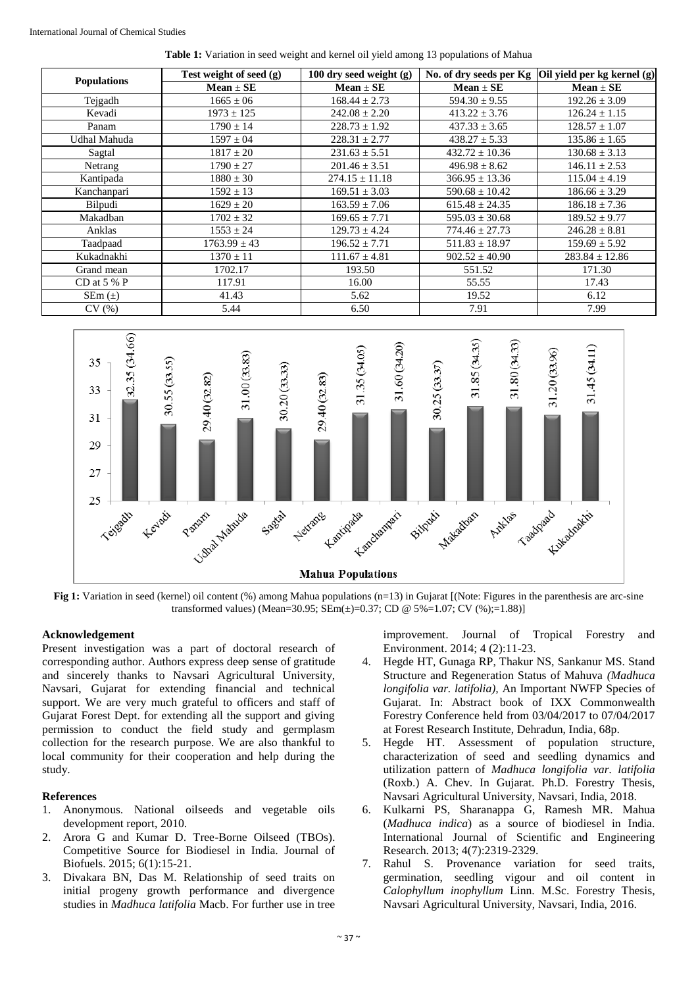|  | <b>Table 1:</b> Variation in seed weight and kernel oil yield among 13 populations of Mahua |  |  |  |  |  |  |
|--|---------------------------------------------------------------------------------------------|--|--|--|--|--|--|
|  |                                                                                             |  |  |  |  |  |  |

|                    | Test weight of seed (g) | 100 dry seed weight (g) |                    | No. of dry seeds per Kg $\vert$ Oil yield per kg kernel (g) |  |  |
|--------------------|-------------------------|-------------------------|--------------------|-------------------------------------------------------------|--|--|
| <b>Populations</b> | $Mean \pm SE$           | $Mean \pm SE$           | $Mean \pm SE$      | $Mean \pm SE$                                               |  |  |
| Tejgadh            | $1665 \pm 06$           | $168.44 \pm 2.73$       | $594.30 \pm 9.55$  | $192.26 \pm 3.09$                                           |  |  |
| Kevadi             | $1973 \pm 125$          | $242.08 \pm 2.20$       | $413.22 \pm 3.76$  | $126.24 \pm 1.15$                                           |  |  |
| Panam              | $1790 \pm 14$           | $228.73 \pm 1.92$       | $437.33 \pm 3.65$  | $128.57 \pm 1.07$                                           |  |  |
| Udhal Mahuda       | $1597 \pm 04$           | $228.31 \pm 2.77$       | $438.27 \pm 5.33$  | $135.86 \pm 1.65$                                           |  |  |
| Sagtal             | $1817 \pm 20$           | $231.63 \pm 5.51$       | $432.72 \pm 10.36$ | $130.68 \pm 3.13$                                           |  |  |
| Netrang            | $1790 \pm 27$           | $201.46 \pm 3.51$       | $496.98 \pm 8.62$  | $146.11 \pm 2.53$                                           |  |  |
| Kantipada          | $1880 \pm 30$           | $274.15 \pm 11.18$      | $366.95 \pm 13.36$ | $115.04 \pm 4.19$                                           |  |  |
| Kanchanpari        | $1592 \pm 13$           | $169.51 \pm 3.03$       | $590.68 \pm 10.42$ | $186.66 \pm 3.29$                                           |  |  |
| Bilpudi            | $1629 \pm 20$           | $163.59 \pm 7.06$       | $615.48 \pm 24.35$ | $186.18 \pm 7.36$                                           |  |  |
| Makadban           | $1702 \pm 32$           | $169.65 \pm 7.71$       | $595.03 \pm 30.68$ | $189.52 \pm 9.77$                                           |  |  |
| Anklas             | $1553 \pm 24$           | $129.73 \pm 4.24$       | $774.46 \pm 27.73$ | $246.28 \pm 8.81$                                           |  |  |
| Taadpaad           | $1763.99 \pm 43$        | $196.52 \pm 7.71$       | $511.83 \pm 18.97$ | $159.69 \pm 5.92$                                           |  |  |
| Kukadnakhi         | $1370 \pm 11$           | $111.67 \pm 4.81$       | $902.52 \pm 40.90$ | $283.84 \pm 12.86$                                          |  |  |
| Grand mean         | 1702.17                 | 193.50                  | 551.52             | 171.30                                                      |  |  |
| CD at $5%$ P       | 117.91                  | 16.00                   | 55.55              | 17.43                                                       |  |  |
| $SEM(\pm)$         | 41.43                   | 5.62                    | 19.52              | 6.12                                                        |  |  |
| CV(%)              | 5.44                    | 6.50                    | 7.91               | 7.99                                                        |  |  |



**Fig 1:** Variation in seed (kernel) oil content (%) among Mahua populations (n=13) in Gujarat [(Note: Figures in the parenthesis are arc-sine transformed values) (Mean=30.95;  $\overline{\text{SEm}}(\pm) = 0.37$ ; CD @ 5%=1.07; CV (%);=1.88)]

## **Acknowledgement**

Present investigation was a part of doctoral research of corresponding author. Authors express deep sense of gratitude and sincerely thanks to Navsari Agricultural University, Navsari, Gujarat for extending financial and technical support. We are very much grateful to officers and staff of Gujarat Forest Dept. for extending all the support and giving permission to conduct the field study and germplasm collection for the research purpose. We are also thankful to local community for their cooperation and help during the study.

## **References**

- 1. Anonymous. National oilseeds and vegetable oils development report, 2010.
- 2. Arora G and Kumar D. Tree-Borne Oilseed (TBOs). Competitive Source for Biodiesel in India. Journal of Biofuels. 2015; 6(1):15-21.
- 3. Divakara BN, Das M. Relationship of seed traits on initial progeny growth performance and divergence studies in *Madhuca latifolia* Macb. For further use in tree

improvement. Journal of Tropical Forestry and Environment. 2014; 4 (2):11-23.

- 4. Hegde HT, Gunaga RP, Thakur NS, Sankanur MS. Stand Structure and Regeneration Status of Mahuva *(Madhuca longifolia var. latifolia),* An Important NWFP Species of Gujarat. In: Abstract book of IXX Commonwealth Forestry Conference held from 03/04/2017 to 07/04/2017 at Forest Research Institute, Dehradun, India, 68p.
- 5. Hegde HT. Assessment of population structure, characterization of seed and seedling dynamics and utilization pattern of *Madhuca longifolia var. latifolia*  (Roxb.) A. Chev. In Gujarat. Ph.D. Forestry Thesis, Navsari Agricultural University, Navsari, India, 2018.
- 6. Kulkarni PS, Sharanappa G, Ramesh MR. Mahua (*Madhuca indica*) as a source of biodiesel in India. International Journal of Scientific and Engineering Research. 2013; 4(7):2319-2329.
- 7. Rahul S. Provenance variation for seed traits, germination, seedling vigour and oil content in *Calophyllum inophyllum* Linn. M.Sc. Forestry Thesis, Navsari Agricultural University, Navsari, India, 2016.